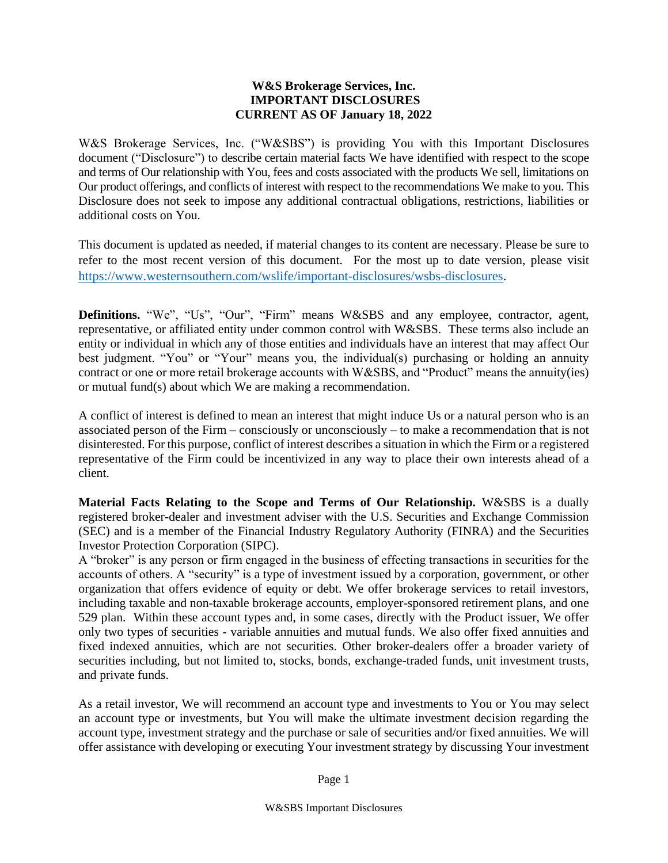## **W&S Brokerage Services, Inc. IMPORTANT DISCLOSURES CURRENT AS OF January 18, 2022**

W&S Brokerage Services, Inc. ("W&SBS") is providing You with this Important Disclosures document ("Disclosure") to describe certain material facts We have identified with respect to the scope and terms of Our relationship with You, fees and costs associated with the products We sell, limitations on Our product offerings, and conflicts of interest with respect to the recommendations We make to you. This Disclosure does not seek to impose any additional contractual obligations, restrictions, liabilities or additional costs on You.

This document is updated as needed, if material changes to its content are necessary. Please be sure to refer to the most recent version of this document. For the most up to date version, please visit [https://www.westernsouthern.com/wslife/important-disclosures/wsbs-disclosures.](https://www.westernsouthern.com/wslife/important-disclosures/wsbs-disclosures)

**Definitions.** "We", "Us", "Our", "Firm" means W&SBS and any employee, contractor, agent, representative, or affiliated entity under common control with W&SBS. These terms also include an entity or individual in which any of those entities and individuals have an interest that may affect Our best judgment. "You" or "Your" means you, the individual(s) purchasing or holding an annuity contract or one or more retail brokerage accounts with W&SBS, and "Product" means the annuity(ies) or mutual fund(s) about which We are making a recommendation.

A conflict of interest is defined to mean an interest that might induce Us or a natural person who is an associated person of the Firm – consciously or unconsciously – to make a recommendation that is not disinterested. For this purpose, conflict of interest describes a situation in which the Firm or a registered representative of the Firm could be incentivized in any way to place their own interests ahead of a client.

**Material Facts Relating to the Scope and Terms of Our Relationship.** W&SBS is a dually registered broker-dealer and investment adviser with the U.S. Securities and Exchange Commission (SEC) and is a member of the Financial Industry Regulatory Authority (FINRA) and the Securities Investor Protection Corporation (SIPC).

A "broker" is any person or firm engaged in the business of effecting transactions in securities for the accounts of others. A "security" is a type of investment issued by a corporation, government, or other organization that offers evidence of equity or debt. We offer brokerage services to retail investors, including taxable and non-taxable brokerage accounts, employer-sponsored retirement plans, and one 529 plan. Within these account types and, in some cases, directly with the Product issuer, We offer only two types of securities - variable annuities and mutual funds. We also offer fixed annuities and fixed indexed annuities, which are not securities. Other broker-dealers offer a broader variety of securities including, but not limited to, stocks, bonds, exchange-traded funds, unit investment trusts, and private funds.

As a retail investor, We will recommend an account type and investments to You or You may select an account type or investments, but You will make the ultimate investment decision regarding the account type, investment strategy and the purchase or sale of securities and/or fixed annuities. We will offer assistance with developing or executing Your investment strategy by discussing Your investment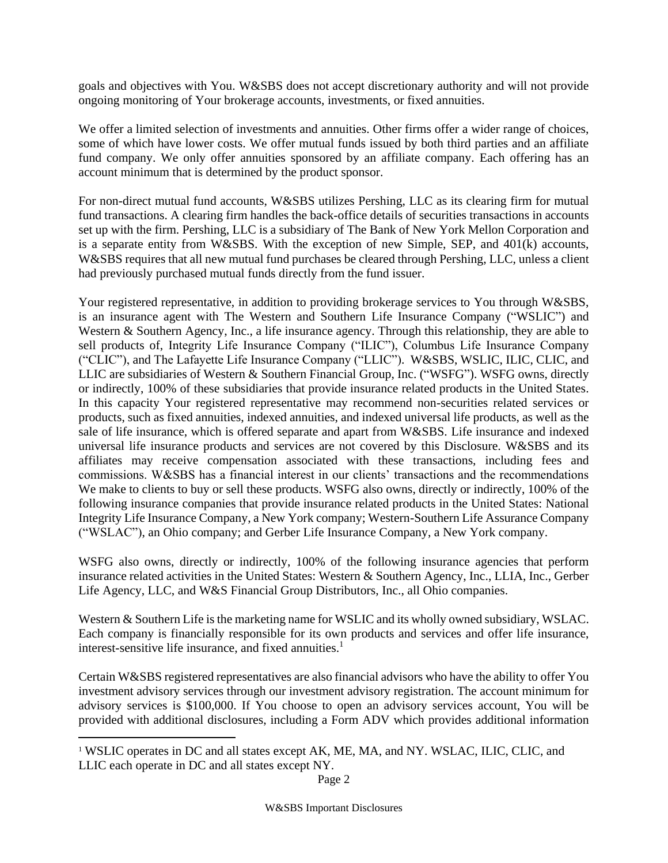goals and objectives with You. W&SBS does not accept discretionary authority and will not provide ongoing monitoring of Your brokerage accounts, investments, or fixed annuities.

We offer a limited selection of investments and annuities. Other firms offer a wider range of choices, some of which have lower costs. We offer mutual funds issued by both third parties and an affiliate fund company. We only offer annuities sponsored by an affiliate company. Each offering has an account minimum that is determined by the product sponsor.

For non-direct mutual fund accounts, W&SBS utilizes Pershing, LLC as its clearing firm for mutual fund transactions. A clearing firm handles the back-office details of securities transactions in accounts set up with the firm. Pershing, LLC is a subsidiary of The Bank of New York Mellon Corporation and is a separate entity from W&SBS. With the exception of new Simple, SEP, and 401(k) accounts, W&SBS requires that all new mutual fund purchases be cleared through Pershing, LLC, unless a client had previously purchased mutual funds directly from the fund issuer.

Your registered representative, in addition to providing brokerage services to You through W&SBS, is an insurance agent with The Western and Southern Life Insurance Company ("WSLIC") and Western & Southern Agency, Inc., a life insurance agency. Through this relationship, they are able to sell products of, Integrity Life Insurance Company ("ILIC"), Columbus Life Insurance Company ("CLIC"), and The Lafayette Life Insurance Company ("LLIC"). W&SBS, WSLIC, ILIC, CLIC, and LLIC are subsidiaries of Western & Southern Financial Group, Inc. ("WSFG"). WSFG owns, directly or indirectly, 100% of these subsidiaries that provide insurance related products in the United States. In this capacity Your registered representative may recommend non-securities related services or products, such as fixed annuities, indexed annuities, and indexed universal life products, as well as the sale of life insurance, which is offered separate and apart from W&SBS. Life insurance and indexed universal life insurance products and services are not covered by this Disclosure. W&SBS and its affiliates may receive compensation associated with these transactions, including fees and commissions. W&SBS has a financial interest in our clients' transactions and the recommendations We make to clients to buy or sell these products. WSFG also owns, directly or indirectly, 100% of the following insurance companies that provide insurance related products in the United States: National Integrity Life Insurance Company, a New York company; Western-Southern Life Assurance Company ("WSLAC"), an Ohio company; and Gerber Life Insurance Company, a New York company.

WSFG also owns, directly or indirectly, 100% of the following insurance agencies that perform insurance related activities in the United States: Western & Southern Agency, Inc., LLIA, Inc., Gerber Life Agency, LLC, and W&S Financial Group Distributors, Inc., all Ohio companies.

Western & Southern Life is the marketing name for WSLIC and its wholly owned subsidiary, WSLAC. Each company is financially responsible for its own products and services and offer life insurance, interest-sensitive life insurance, and fixed annuities.<sup>1</sup>

Certain W&SBS registered representatives are also financial advisors who have the ability to offer You investment advisory services through our investment advisory registration. The account minimum for advisory services is \$100,000. If You choose to open an advisory services account, You will be provided with additional disclosures, including a Form ADV which provides additional information

 $\overline{a}$ 

<sup>&</sup>lt;sup>1</sup> WSLIC operates in DC and all states except AK, ME, MA, and NY. WSLAC, ILIC, CLIC, and LLIC each operate in DC and all states except NY.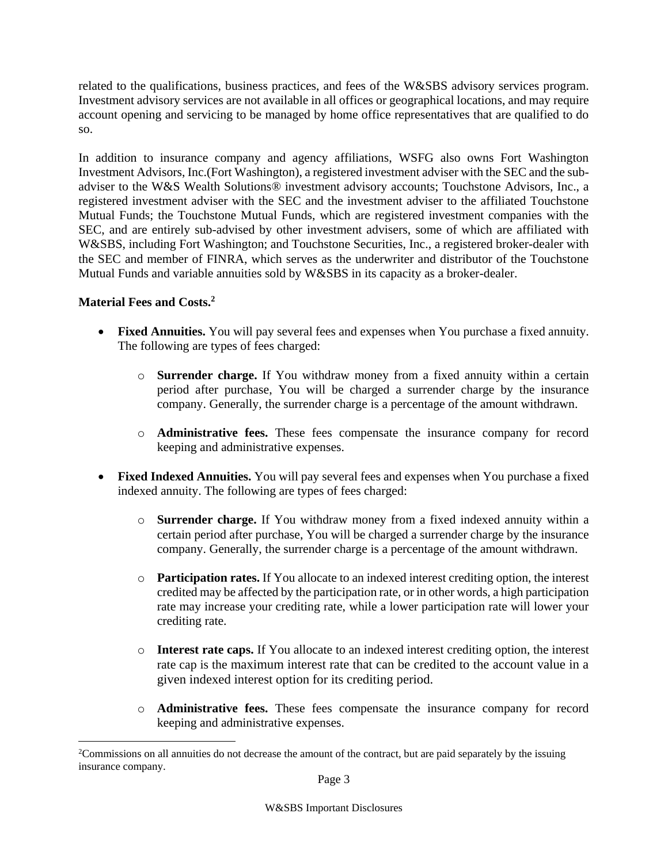related to the qualifications, business practices, and fees of the W&SBS advisory services program. Investment advisory services are not available in all offices or geographical locations, and may require account opening and servicing to be managed by home office representatives that are qualified to do so.

In addition to insurance company and agency affiliations, WSFG also owns Fort Washington Investment Advisors, Inc.(Fort Washington), a registered investment adviser with the SEC and the subadviser to the W&S Wealth Solutions® investment advisory accounts; Touchstone Advisors, Inc., a registered investment adviser with the SEC and the investment adviser to the affiliated Touchstone Mutual Funds; the Touchstone Mutual Funds, which are registered investment companies with the SEC, and are entirely sub-advised by other investment advisers, some of which are affiliated with W&SBS, including Fort Washington; and Touchstone Securities, Inc., a registered broker-dealer with the SEC and member of FINRA, which serves as the underwriter and distributor of the Touchstone Mutual Funds and variable annuities sold by W&SBS in its capacity as a broker-dealer.

## **Material Fees and Costs.<sup>2</sup>**

 $\overline{a}$ 

- **Fixed Annuities.** You will pay several fees and expenses when You purchase a fixed annuity. The following are types of fees charged:
	- o **Surrender charge.** If You withdraw money from a fixed annuity within a certain period after purchase, You will be charged a surrender charge by the insurance company. Generally, the surrender charge is a percentage of the amount withdrawn.
	- o **Administrative fees.** These fees compensate the insurance company for record keeping and administrative expenses.
- **Fixed Indexed Annuities.** You will pay several fees and expenses when You purchase a fixed indexed annuity. The following are types of fees charged:
	- o **Surrender charge.** If You withdraw money from a fixed indexed annuity within a certain period after purchase, You will be charged a surrender charge by the insurance company. Generally, the surrender charge is a percentage of the amount withdrawn.
	- o **Participation rates.** If You allocate to an indexed interest crediting option, the interest credited may be affected by the participation rate, or in other words, a high participation rate may increase your crediting rate, while a lower participation rate will lower your crediting rate.
	- o **Interest rate caps.** If You allocate to an indexed interest crediting option, the interest rate cap is the maximum interest rate that can be credited to the account value in a given indexed interest option for its crediting period.
	- o **Administrative fees.** These fees compensate the insurance company for record keeping and administrative expenses.

<sup>&</sup>lt;sup>2</sup>Commissions on all annuities do not decrease the amount of the contract, but are paid separately by the issuing insurance company.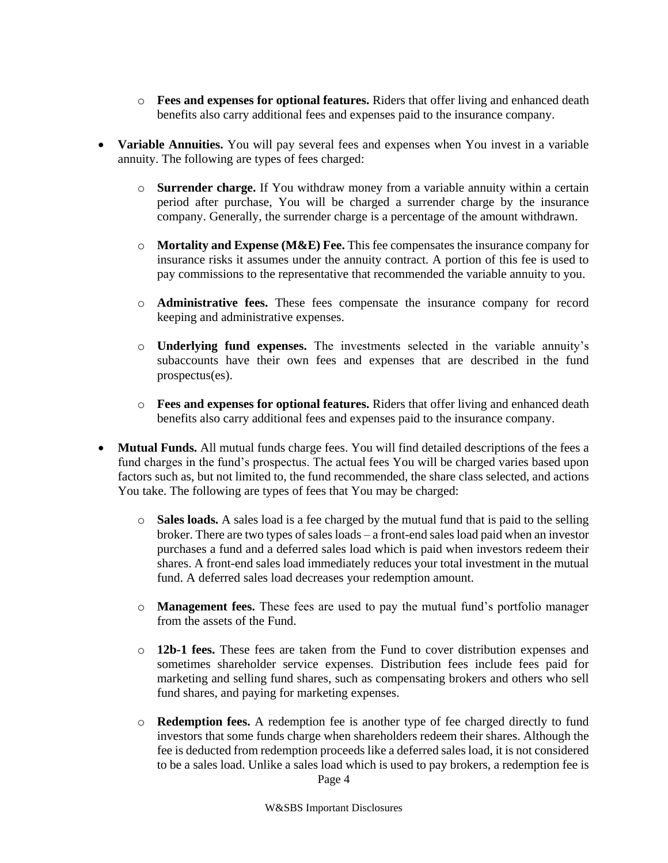- o **Fees and expenses for optional features.** Riders that offer living and enhanced death benefits also carry additional fees and expenses paid to the insurance company.
- **Variable Annuities.** You will pay several fees and expenses when You invest in a variable annuity. The following are types of fees charged:
	- o **Surrender charge.** If You withdraw money from a variable annuity within a certain period after purchase, You will be charged a surrender charge by the insurance company. Generally, the surrender charge is a percentage of the amount withdrawn.
	- o **Mortality and Expense (M&E) Fee.** This fee compensates the insurance company for insurance risks it assumes under the annuity contract. A portion of this fee is used to pay commissions to the representative that recommended the variable annuity to you.
	- o **Administrative fees.** These fees compensate the insurance company for record keeping and administrative expenses.
	- o **Underlying fund expenses.** The investments selected in the variable annuity's subaccounts have their own fees and expenses that are described in the fund prospectus(es).
	- o **Fees and expenses for optional features.** Riders that offer living and enhanced death benefits also carry additional fees and expenses paid to the insurance company.
- **Mutual Funds.** All mutual funds charge fees. You will find detailed descriptions of the fees a fund charges in the fund's prospectus. The actual fees You will be charged varies based upon factors such as, but not limited to, the fund recommended, the share class selected, and actions You take. The following are types of fees that You may be charged:
	- o **Sales loads.** A sales load is a fee charged by the mutual fund that is paid to the selling broker. There are two types of sales loads – a front-end sales load paid when an investor purchases a fund and a deferred sales load which is paid when investors redeem their shares. A front-end sales load immediately reduces your total investment in the mutual fund. A deferred sales load decreases your redemption amount.
	- o **Management fees.** These fees are used to pay the mutual fund's portfolio manager from the assets of the Fund.
	- o **12b-1 fees.** These fees are taken from the Fund to cover distribution expenses and sometimes shareholder service expenses. Distribution fees include fees paid for marketing and selling fund shares, such as compensating brokers and others who sell fund shares, and paying for marketing expenses.
	- o **Redemption fees.** A redemption fee is another type of fee charged directly to fund investors that some funds charge when shareholders redeem their shares. Although the fee is deducted from redemption proceeds like a deferred sales load, it is not considered to be a sales load. Unlike a sales load which is used to pay brokers, a redemption fee is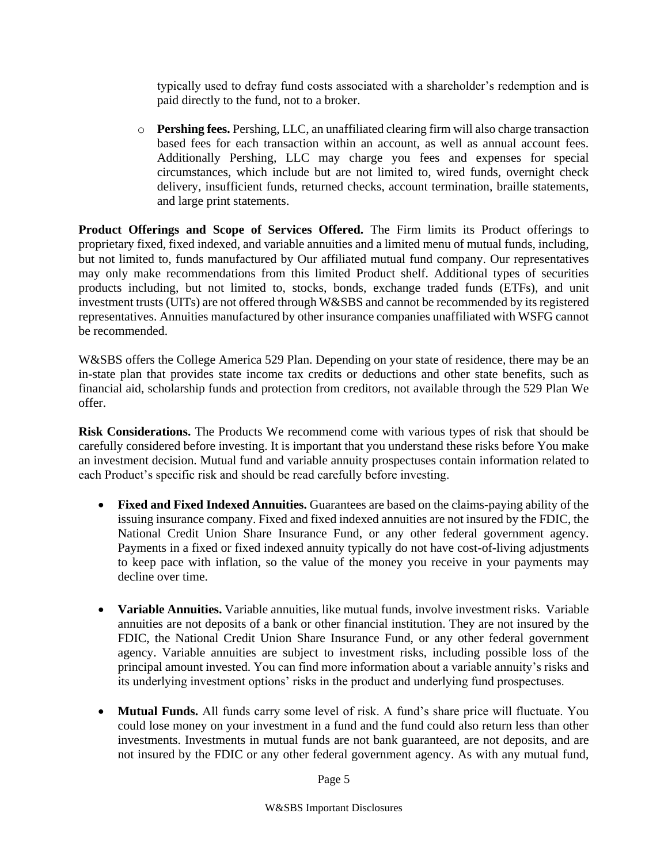typically used to defray fund costs associated with a shareholder's redemption and is paid directly to the fund, not to a broker.

o **Pershing fees.** Pershing, LLC, an unaffiliated clearing firm will also charge transaction based fees for each transaction within an account, as well as annual account fees. Additionally Pershing, LLC may charge you fees and expenses for special circumstances, which include but are not limited to, wired funds, overnight check delivery, insufficient funds, returned checks, account termination, braille statements, and large print statements.

**Product Offerings and Scope of Services Offered.** The Firm limits its Product offerings to proprietary fixed, fixed indexed, and variable annuities and a limited menu of mutual funds, including, but not limited to, funds manufactured by Our affiliated mutual fund company. Our representatives may only make recommendations from this limited Product shelf. Additional types of securities products including, but not limited to, stocks, bonds, exchange traded funds (ETFs), and unit investment trusts (UITs) are not offered through W&SBS and cannot be recommended by its registered representatives. Annuities manufactured by other insurance companies unaffiliated with WSFG cannot be recommended.

W&SBS offers the College America 529 Plan. Depending on your state of residence, there may be an in-state plan that provides state income tax credits or deductions and other state benefits, such as financial aid, scholarship funds and protection from creditors, not available through the 529 Plan We offer.

**Risk Considerations.** The Products We recommend come with various types of risk that should be carefully considered before investing. It is important that you understand these risks before You make an investment decision. Mutual fund and variable annuity prospectuses contain information related to each Product's specific risk and should be read carefully before investing.

- **Fixed and Fixed Indexed Annuities.** Guarantees are based on the claims-paying ability of the issuing insurance company. Fixed and fixed indexed annuities are not insured by the FDIC, the National Credit Union Share Insurance Fund, or any other federal government agency. Payments in a fixed or fixed indexed annuity typically do not have cost-of-living adjustments to keep pace with inflation, so the value of the money you receive in your payments may decline over time.
- **Variable Annuities.** Variable annuities, like mutual funds, involve investment risks. Variable annuities are not deposits of a bank or other financial institution. They are not insured by the FDIC, the National Credit Union Share Insurance Fund, or any other federal government agency. Variable annuities are subject to investment risks, including possible loss of the principal amount invested. You can find more information about a variable annuity's risks and its underlying investment options' risks in the product and underlying fund prospectuses.
- **Mutual Funds.** All funds carry some level of risk. A fund's share price will fluctuate. You could lose money on your investment in a fund and the fund could also return less than other investments. Investments in mutual funds are not bank guaranteed, are not deposits, and are not insured by the FDIC or any other federal government agency. As with any mutual fund,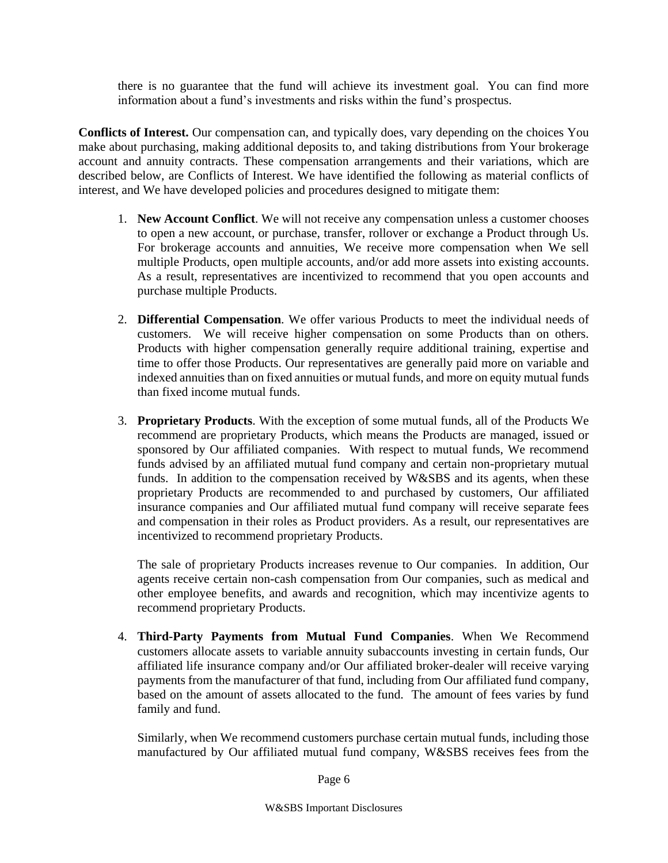there is no guarantee that the fund will achieve its investment goal. You can find more information about a fund's investments and risks within the fund's prospectus.

**Conflicts of Interest.** Our compensation can, and typically does, vary depending on the choices You make about purchasing, making additional deposits to, and taking distributions from Your brokerage account and annuity contracts. These compensation arrangements and their variations, which are described below, are Conflicts of Interest. We have identified the following as material conflicts of interest, and We have developed policies and procedures designed to mitigate them:

- 1. **New Account Conflict**. We will not receive any compensation unless a customer chooses to open a new account, or purchase, transfer, rollover or exchange a Product through Us. For brokerage accounts and annuities, We receive more compensation when We sell multiple Products, open multiple accounts, and/or add more assets into existing accounts. As a result, representatives are incentivized to recommend that you open accounts and purchase multiple Products.
- 2. **Differential Compensation**. We offer various Products to meet the individual needs of customers. We will receive higher compensation on some Products than on others. Products with higher compensation generally require additional training, expertise and time to offer those Products. Our representatives are generally paid more on variable and indexed annuities than on fixed annuities or mutual funds, and more on equity mutual funds than fixed income mutual funds.
- 3. **Proprietary Products**. With the exception of some mutual funds, all of the Products We recommend are proprietary Products, which means the Products are managed, issued or sponsored by Our affiliated companies. With respect to mutual funds, We recommend funds advised by an affiliated mutual fund company and certain non-proprietary mutual funds. In addition to the compensation received by W&SBS and its agents, when these proprietary Products are recommended to and purchased by customers, Our affiliated insurance companies and Our affiliated mutual fund company will receive separate fees and compensation in their roles as Product providers. As a result, our representatives are incentivized to recommend proprietary Products.

The sale of proprietary Products increases revenue to Our companies. In addition, Our agents receive certain non-cash compensation from Our companies, such as medical and other employee benefits, and awards and recognition, which may incentivize agents to recommend proprietary Products.

4. **Third-Party Payments from Mutual Fund Companies**. When We Recommend customers allocate assets to variable annuity subaccounts investing in certain funds, Our affiliated life insurance company and/or Our affiliated broker-dealer will receive varying payments from the manufacturer of that fund, including from Our affiliated fund company, based on the amount of assets allocated to the fund. The amount of fees varies by fund family and fund.

Similarly, when We recommend customers purchase certain mutual funds, including those manufactured by Our affiliated mutual fund company, W&SBS receives fees from the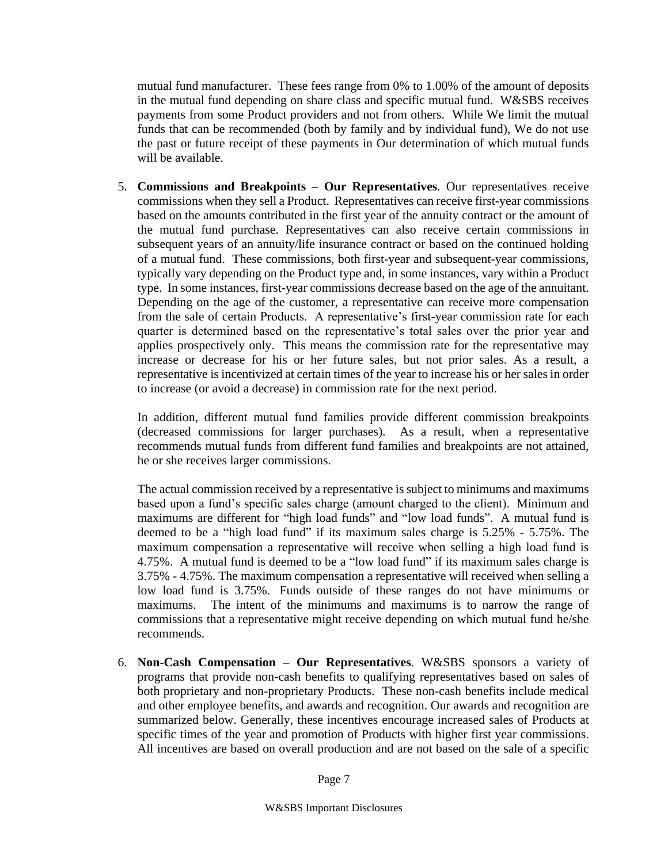mutual fund manufacturer. These fees range from 0% to 1.00% of the amount of deposits in the mutual fund depending on share class and specific mutual fund. W&SBS receives payments from some Product providers and not from others. While We limit the mutual funds that can be recommended (both by family and by individual fund), We do not use the past or future receipt of these payments in Our determination of which mutual funds will be available.

5. **Commissions and Breakpoints – Our Representatives**. Our representatives receive commissions when they sell a Product. Representatives can receive first-year commissions based on the amounts contributed in the first year of the annuity contract or the amount of the mutual fund purchase. Representatives can also receive certain commissions in subsequent years of an annuity/life insurance contract or based on the continued holding of a mutual fund. These commissions, both first-year and subsequent-year commissions, typically vary depending on the Product type and, in some instances, vary within a Product type. In some instances, first-year commissions decrease based on the age of the annuitant. Depending on the age of the customer, a representative can receive more compensation from the sale of certain Products. A representative's first-year commission rate for each quarter is determined based on the representative's total sales over the prior year and applies prospectively only. This means the commission rate for the representative may increase or decrease for his or her future sales, but not prior sales. As a result, a representative is incentivized at certain times of the year to increase his or her sales in order to increase (or avoid a decrease) in commission rate for the next period.

In addition, different mutual fund families provide different commission breakpoints (decreased commissions for larger purchases). As a result, when a representative recommends mutual funds from different fund families and breakpoints are not attained, he or she receives larger commissions.

The actual commission received by a representative is subject to minimums and maximums based upon a fund's specific sales charge (amount charged to the client). Minimum and maximums are different for "high load funds" and "low load funds". A mutual fund is deemed to be a "high load fund" if its maximum sales charge is 5.25% - 5.75%. The maximum compensation a representative will receive when selling a high load fund is 4.75%. A mutual fund is deemed to be a "low load fund" if its maximum sales charge is 3.75% - 4.75%. The maximum compensation a representative will received when selling a low load fund is 3.75%. Funds outside of these ranges do not have minimums or maximums. The intent of the minimums and maximums is to narrow the range of commissions that a representative might receive depending on which mutual fund he/she recommends.

6. **Non-Cash Compensation – Our Representatives**. W&SBS sponsors a variety of programs that provide non-cash benefits to qualifying representatives based on sales of both proprietary and non-proprietary Products. These non-cash benefits include medical and other employee benefits, and awards and recognition. Our awards and recognition are summarized below. Generally, these incentives encourage increased sales of Products at specific times of the year and promotion of Products with higher first year commissions. All incentives are based on overall production and are not based on the sale of a specific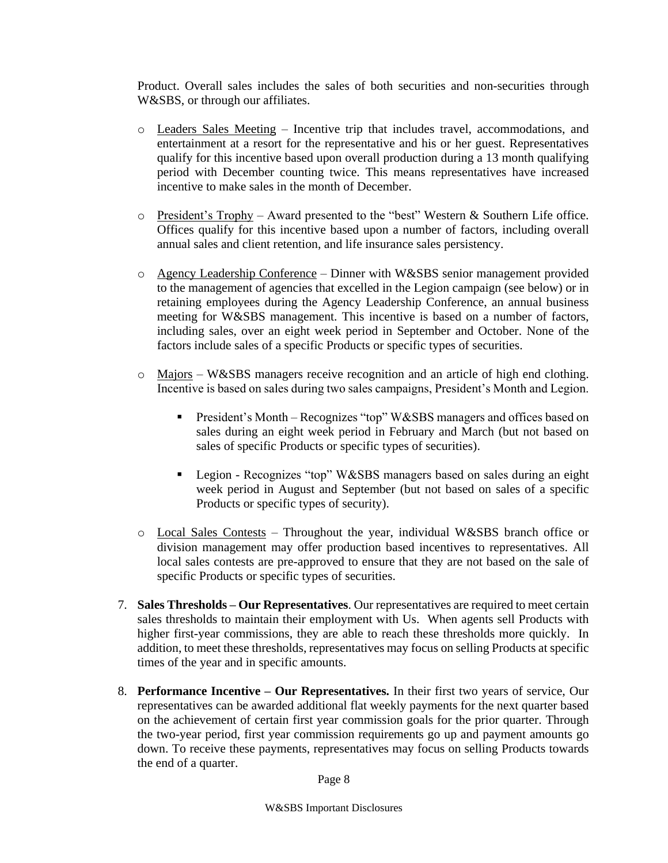Product. Overall sales includes the sales of both securities and non-securities through W&SBS, or through our affiliates.

- o Leaders Sales Meeting Incentive trip that includes travel, accommodations, and entertainment at a resort for the representative and his or her guest. Representatives qualify for this incentive based upon overall production during a 13 month qualifying period with December counting twice. This means representatives have increased incentive to make sales in the month of December.
- o President's Trophy Award presented to the "best" Western & Southern Life office. Offices qualify for this incentive based upon a number of factors, including overall annual sales and client retention, and life insurance sales persistency.
- $\circ$  Agency Leadership Conference Dinner with W&SBS senior management provided to the management of agencies that excelled in the Legion campaign (see below) or in retaining employees during the Agency Leadership Conference, an annual business meeting for W&SBS management. This incentive is based on a number of factors, including sales, over an eight week period in September and October. None of the factors include sales of a specific Products or specific types of securities.
- $\circ$  Majors W&SBS managers receive recognition and an article of high end clothing. Incentive is based on sales during two sales campaigns, President's Month and Legion.
	- President's Month Recognizes "top" W&SBS managers and offices based on sales during an eight week period in February and March (but not based on sales of specific Products or specific types of securities).
	- Legion Recognizes "top" W&SBS managers based on sales during an eight week period in August and September (but not based on sales of a specific Products or specific types of security).
- o Local Sales Contests Throughout the year, individual W&SBS branch office or division management may offer production based incentives to representatives. All local sales contests are pre-approved to ensure that they are not based on the sale of specific Products or specific types of securities.
- 7. **Sales Thresholds – Our Representatives**. Our representatives are required to meet certain sales thresholds to maintain their employment with Us. When agents sell Products with higher first-year commissions, they are able to reach these thresholds more quickly. In addition, to meet these thresholds, representatives may focus on selling Products at specific times of the year and in specific amounts.
- 8. **Performance Incentive – Our Representatives.** In their first two years of service, Our representatives can be awarded additional flat weekly payments for the next quarter based on the achievement of certain first year commission goals for the prior quarter. Through the two-year period, first year commission requirements go up and payment amounts go down. To receive these payments, representatives may focus on selling Products towards the end of a quarter.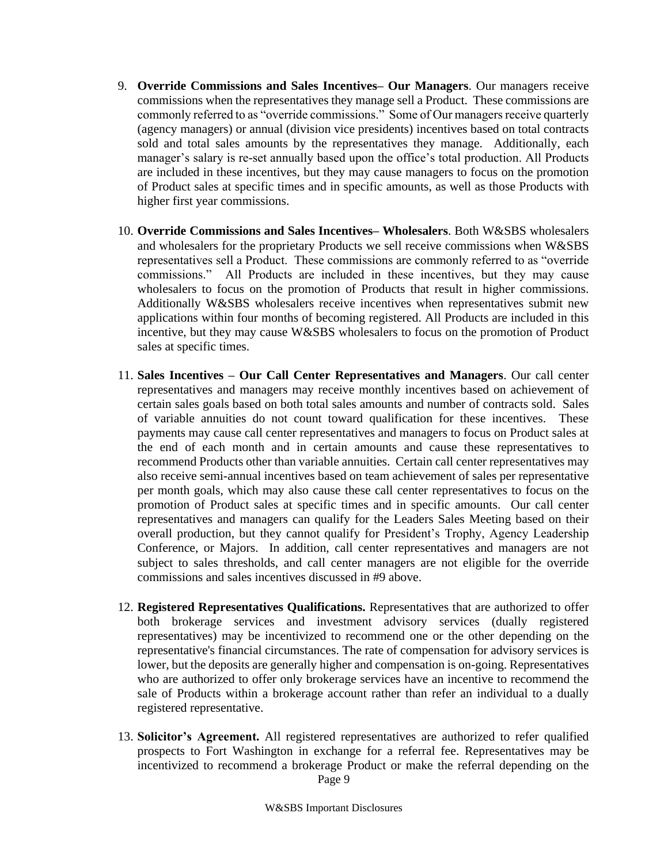- 9. **Override Commissions and Sales Incentives– Our Managers**. Our managers receive commissions when the representatives they manage sell a Product. These commissions are commonly referred to as "override commissions." Some of Our managers receive quarterly (agency managers) or annual (division vice presidents) incentives based on total contracts sold and total sales amounts by the representatives they manage. Additionally, each manager's salary is re-set annually based upon the office's total production. All Products are included in these incentives, but they may cause managers to focus on the promotion of Product sales at specific times and in specific amounts, as well as those Products with higher first year commissions.
- 10. **Override Commissions and Sales Incentives– Wholesalers**. Both W&SBS wholesalers and wholesalers for the proprietary Products we sell receive commissions when W&SBS representatives sell a Product. These commissions are commonly referred to as "override commissions." All Products are included in these incentives, but they may cause wholesalers to focus on the promotion of Products that result in higher commissions. Additionally W&SBS wholesalers receive incentives when representatives submit new applications within four months of becoming registered. All Products are included in this incentive, but they may cause W&SBS wholesalers to focus on the promotion of Product sales at specific times.
- 11. **Sales Incentives – Our Call Center Representatives and Managers**. Our call center representatives and managers may receive monthly incentives based on achievement of certain sales goals based on both total sales amounts and number of contracts sold. Sales of variable annuities do not count toward qualification for these incentives. These payments may cause call center representatives and managers to focus on Product sales at the end of each month and in certain amounts and cause these representatives to recommend Products other than variable annuities. Certain call center representatives may also receive semi-annual incentives based on team achievement of sales per representative per month goals, which may also cause these call center representatives to focus on the promotion of Product sales at specific times and in specific amounts. Our call center representatives and managers can qualify for the Leaders Sales Meeting based on their overall production, but they cannot qualify for President's Trophy, Agency Leadership Conference, or Majors. In addition, call center representatives and managers are not subject to sales thresholds, and call center managers are not eligible for the override commissions and sales incentives discussed in #9 above.
- 12. **Registered Representatives Qualifications.** Representatives that are authorized to offer both brokerage services and investment advisory services (dually registered representatives) may be incentivized to recommend one or the other depending on the representative's financial circumstances. The rate of compensation for advisory services is lower, but the deposits are generally higher and compensation is on-going. Representatives who are authorized to offer only brokerage services have an incentive to recommend the sale of Products within a brokerage account rather than refer an individual to a dually registered representative.
- Page 9 13. **Solicitor's Agreement.** All registered representatives are authorized to refer qualified prospects to Fort Washington in exchange for a referral fee. Representatives may be incentivized to recommend a brokerage Product or make the referral depending on the